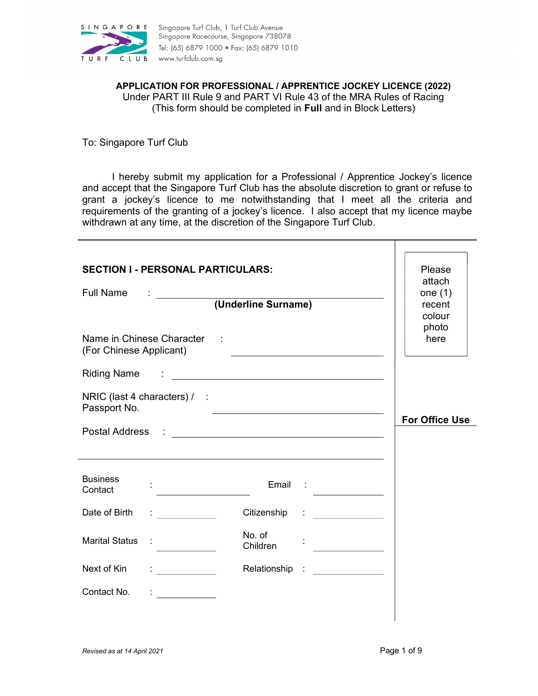

APPLICATION FOR PROFESSIONAL / APPRENTICE JOCKEY LICENCE (2022) Under PART III Rule 9 and PART VI Rule 43 of the MRA Rules of Racing (This form should be completed in Full and in Block Letters)

To: Singapore Turf Club

I hereby submit my application for a Professional / Apprentice Jockey's licence and accept that the Singapore Turf Club has the absolute discretion to grant or refuse to grant a jockey's licence to me notwithstanding that I meet all the criteria and requirements of the granting of a jockey's licence. I also accept that my licence maybe withdrawn at any time, at the discretion of the Singapore Turf Club.

| <b>SECTION I - PERSONAL PARTICULARS:</b><br><b>Full Name</b> | (Underline Surname)                               |                                                           | Please<br>attach<br>one $(1)$<br>recent<br>colour<br>photo |
|--------------------------------------------------------------|---------------------------------------------------|-----------------------------------------------------------|------------------------------------------------------------|
| Name in Chinese Character :<br>(For Chinese Applicant)       |                                                   |                                                           | here                                                       |
| <b>Riding Name</b>                                           |                                                   |                                                           |                                                            |
| NRIC (last 4 characters) / :<br>Passport No.                 | <u> 1990 - Johann Barbara, martin amerikan ba</u> |                                                           |                                                            |
| Postal Address                                               | <u> 1980 - Andrea Brand, amerikansk politik (</u> |                                                           | <b>For Office Use</b>                                      |
|                                                              |                                                   |                                                           |                                                            |
| <b>Business</b><br>Contact                                   |                                                   | Email : $\frac{1}{2}$                                     |                                                            |
| Date of Birth                                                | Citizenship                                       | $\ddot{\cdot}$ . The contract of $\dot{\cdot}$            |                                                            |
| <b>Marital Status</b>                                        | No. of<br>Children                                |                                                           |                                                            |
| Next of Kin                                                  | Relationship                                      | $\mathcal{L}_{\text{max}}$ and $\mathcal{L}_{\text{max}}$ |                                                            |
| Contact No.                                                  |                                                   |                                                           |                                                            |
|                                                              |                                                   |                                                           |                                                            |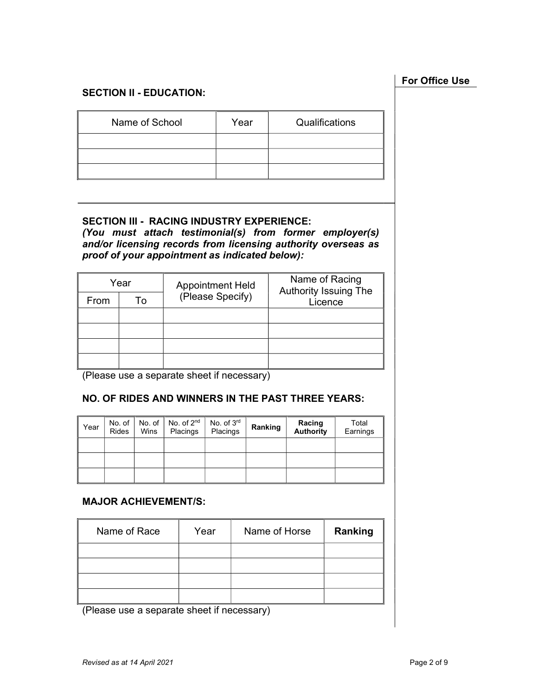# SECTION II - EDUCATION:

| Name of School | Year | Qualifications |
|----------------|------|----------------|
|                |      |                |
|                |      |                |
|                |      |                |

### SECTION III - RACING INDUSTRY EXPERIENCE:

(You must attach testimonial(s) from former employer(s) and/or licensing records from licensing authority overseas as proof of your appointment as indicated below):

| Year |    | <b>Appointment Held</b> | Name of Racing<br><b>Authority Issuing The</b> |  |
|------|----|-------------------------|------------------------------------------------|--|
| From | Т٥ | (Please Specify)        | Licence                                        |  |
|      |    |                         |                                                |  |
|      |    |                         |                                                |  |
|      |    |                         |                                                |  |
|      |    |                         |                                                |  |

(Please use a separate sheet if necessary)

# NO. OF RIDES AND WINNERS IN THE PAST THREE YEARS:

| Year | No. of<br><b>Rides</b> | No. of<br>Wins | No. of 2 <sup>nd</sup><br>Placings | No. of 3rd<br>Placings | Ranking | Racing<br><b>Authority</b> | Total<br>Earnings |
|------|------------------------|----------------|------------------------------------|------------------------|---------|----------------------------|-------------------|
|      |                        |                |                                    |                        |         |                            |                   |
|      |                        |                |                                    |                        |         |                            |                   |
|      |                        |                |                                    |                        |         |                            |                   |

### MAJOR ACHIEVEMENT/S:

| Name of Race | Year | Name of Horse | Ranking |
|--------------|------|---------------|---------|
|              |      |               |         |
|              |      |               |         |
|              |      |               |         |
|              |      |               |         |

(Please use a separate sheet if necessary)

# For Office Use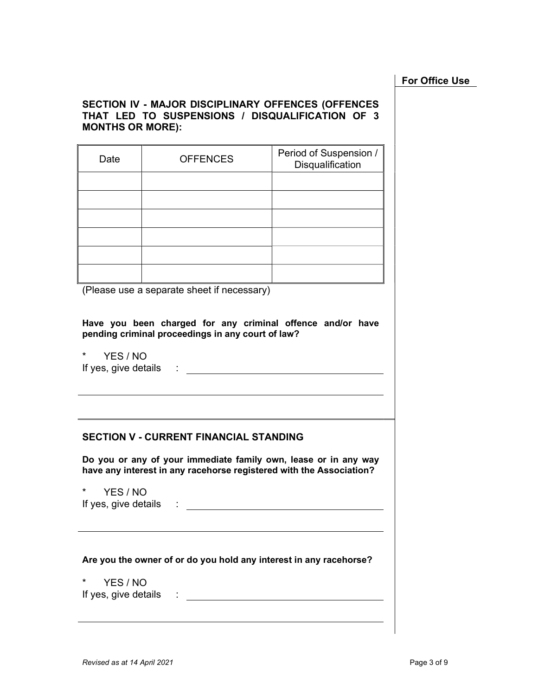### For Office Use

### SECTION IV - MAJOR DISCIPLINARY OFFENCES (OFFENCES THAT LED TO SUSPENSIONS / DISQUALIFICATION OF 3 MONTHS OR MORE):

| Date | <b>OFFENCES</b> | Period of Suspension /<br>Disqualification |
|------|-----------------|--------------------------------------------|
|      |                 |                                            |
|      |                 |                                            |
|      |                 |                                            |
|      |                 |                                            |
|      |                 |                                            |
|      |                 |                                            |

(Please use a separate sheet if necessary)

Have you been charged for any criminal offence and/or have pending criminal proceedings in any court of law?

\* YES / NO If yes, give details : the state of the state of the state of the state of the state of the state of the state of the state of the state of the state of the state of the state of the state of the state of the state of the

### SECTION V - CURRENT FINANCIAL STANDING

Do you or any of your immediate family own, lease or in any way have any interest in any racehorse registered with the Association?

\* YES / NO If yes, give details :

Are you the owner of or do you hold any interest in any racehorse?

\* YES / NO If yes, give details : The state of the state of the state of the state of the state of the state of the state of the state of the state of the state of the state of the state of the state of the state of the state of the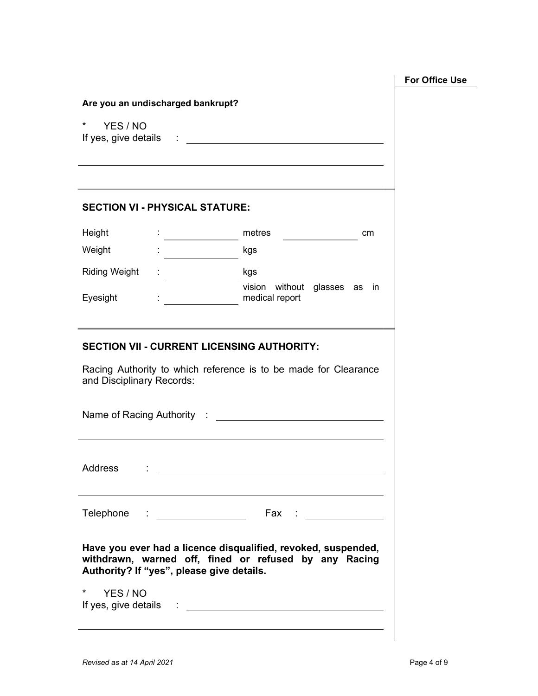| Are you an undischarged bankrupt?         |                                         |                                                                                                                        |  |
|-------------------------------------------|-----------------------------------------|------------------------------------------------------------------------------------------------------------------------|--|
| $\star$<br>YES / NO                       |                                         |                                                                                                                        |  |
|                                           |                                         |                                                                                                                        |  |
|                                           |                                         |                                                                                                                        |  |
| <b>SECTION VI - PHYSICAL STATURE:</b>     |                                         |                                                                                                                        |  |
| Height                                    |                                         | : ________________ metres _______<br>cm                                                                                |  |
| Weight                                    | <u> 1999 - Alban Storman, politik e</u> | kgs                                                                                                                    |  |
| Riding Weight                             |                                         | kgs                                                                                                                    |  |
| Eyesight                                  |                                         | vision without glasses as in                                                                                           |  |
|                                           |                                         |                                                                                                                        |  |
|                                           |                                         | <b>SECTION VII - CURRENT LICENSING AUTHORITY:</b><br>Racing Authority to which reference is to be made for Clearance   |  |
|                                           |                                         |                                                                                                                        |  |
| and Disciplinary Records:                 |                                         |                                                                                                                        |  |
| Address<br>and the contract of            |                                         |                                                                                                                        |  |
| Telephone                                 |                                         | Fax : ______________                                                                                                   |  |
| Authority? If "yes", please give details. |                                         | Have you ever had a licence disqualified, revoked, suspended,<br>withdrawn, warned off, fined or refused by any Racing |  |
| $\star$<br>YES / NO                       |                                         |                                                                                                                        |  |

 $\overline{\phantom{a}}$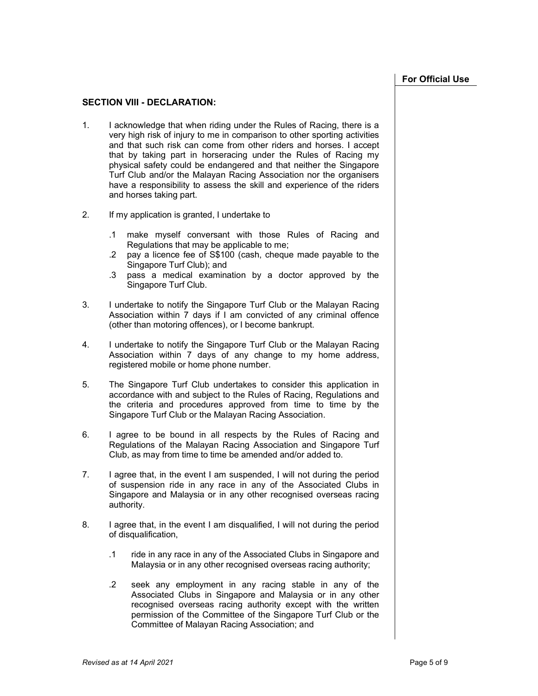#### SECTION VIII - DECLARATION:

- 1. I acknowledge that when riding under the Rules of Racing, there is a very high risk of injury to me in comparison to other sporting activities and that such risk can come from other riders and horses. I accept that by taking part in horseracing under the Rules of Racing my physical safety could be endangered and that neither the Singapore Turf Club and/or the Malayan Racing Association nor the organisers have a responsibility to assess the skill and experience of the riders and horses taking part.
- 2. If my application is granted, I undertake to
	- .1 make myself conversant with those Rules of Racing and Regulations that may be applicable to me;
	- .2 pay a licence fee of S\$100 (cash, cheque made payable to the Singapore Turf Club); and
	- .3 pass a medical examination by a doctor approved by the Singapore Turf Club.
- 3. I undertake to notify the Singapore Turf Club or the Malayan Racing Association within 7 days if I am convicted of any criminal offence (other than motoring offences), or I become bankrupt.
- 4. I undertake to notify the Singapore Turf Club or the Malayan Racing Association within 7 days of any change to my home address, registered mobile or home phone number.
- 5. The Singapore Turf Club undertakes to consider this application in accordance with and subject to the Rules of Racing, Regulations and the criteria and procedures approved from time to time by the Singapore Turf Club or the Malayan Racing Association.
- 6. I agree to be bound in all respects by the Rules of Racing and Regulations of the Malayan Racing Association and Singapore Turf Club, as may from time to time be amended and/or added to.
- 7. I agree that, in the event I am suspended, I will not during the period of suspension ride in any race in any of the Associated Clubs in Singapore and Malaysia or in any other recognised overseas racing authority.
- 8. I agree that, in the event I am disqualified, I will not during the period of disqualification,
	- .1 ride in any race in any of the Associated Clubs in Singapore and Malaysia or in any other recognised overseas racing authority;
	- .2 seek any employment in any racing stable in any of the Associated Clubs in Singapore and Malaysia or in any other recognised overseas racing authority except with the written permission of the Committee of the Singapore Turf Club or the Committee of Malayan Racing Association; and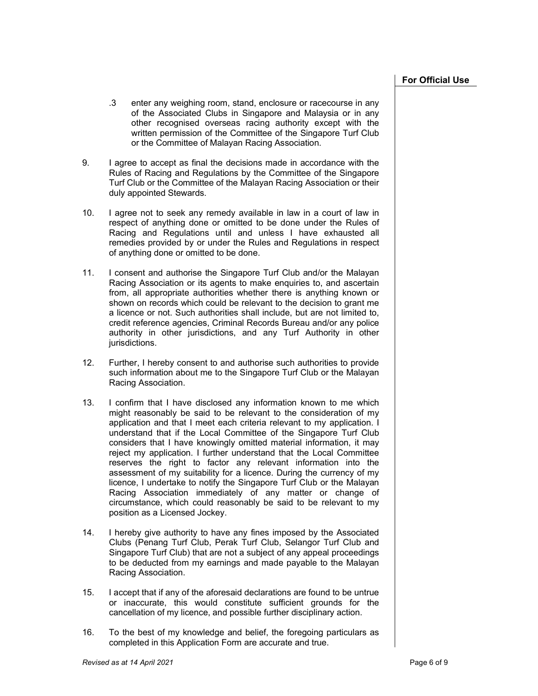- .3 enter any weighing room, stand, enclosure or racecourse in any of the Associated Clubs in Singapore and Malaysia or in any other recognised overseas racing authority except with the written permission of the Committee of the Singapore Turf Club or the Committee of Malayan Racing Association.
- 9. I agree to accept as final the decisions made in accordance with the Rules of Racing and Regulations by the Committee of the Singapore Turf Club or the Committee of the Malayan Racing Association or their duly appointed Stewards.
- 10. I agree not to seek any remedy available in law in a court of law in respect of anything done or omitted to be done under the Rules of Racing and Regulations until and unless I have exhausted all remedies provided by or under the Rules and Regulations in respect of anything done or omitted to be done.
- 11. I consent and authorise the Singapore Turf Club and/or the Malayan Racing Association or its agents to make enquiries to, and ascertain from, all appropriate authorities whether there is anything known or shown on records which could be relevant to the decision to grant me a licence or not. Such authorities shall include, but are not limited to, credit reference agencies, Criminal Records Bureau and/or any police authority in other jurisdictions, and any Turf Authority in other jurisdictions.
- 12. Further, I hereby consent to and authorise such authorities to provide such information about me to the Singapore Turf Club or the Malayan Racing Association.
- 13. I confirm that I have disclosed any information known to me which might reasonably be said to be relevant to the consideration of my application and that I meet each criteria relevant to my application. I understand that if the Local Committee of the Singapore Turf Club considers that I have knowingly omitted material information, it may reject my application. I further understand that the Local Committee reserves the right to factor any relevant information into the assessment of my suitability for a licence. During the currency of my licence, I undertake to notify the Singapore Turf Club or the Malayan Racing Association immediately of any matter or change of circumstance, which could reasonably be said to be relevant to my position as a Licensed Jockey.
- 14. I hereby give authority to have any fines imposed by the Associated Clubs (Penang Turf Club, Perak Turf Club, Selangor Turf Club and Singapore Turf Club) that are not a subject of any appeal proceedings to be deducted from my earnings and made payable to the Malayan Racing Association.
- 15. I accept that if any of the aforesaid declarations are found to be untrue or inaccurate, this would constitute sufficient grounds for the cancellation of my licence, and possible further disciplinary action.
- 16. To the best of my knowledge and belief, the foregoing particulars as completed in this Application Form are accurate and true.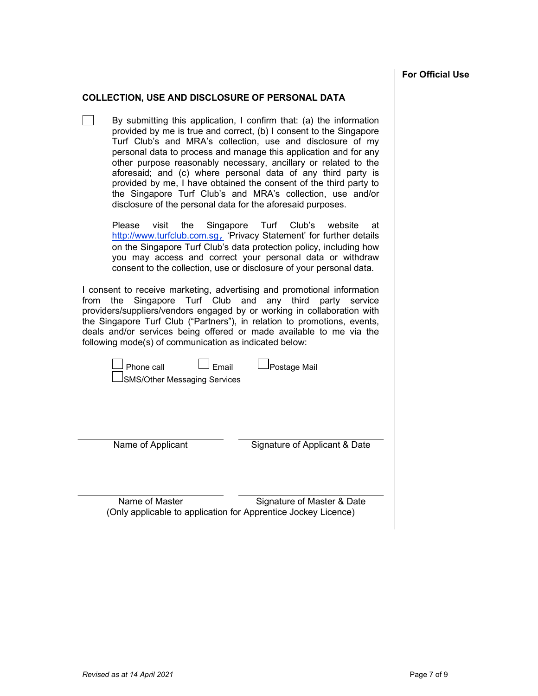#### COLLECTION, USE AND DISCLOSURE OF PERSONAL DATA

 $\Box$ By submitting this application, I confirm that: (a) the information provided by me is true and correct, (b) I consent to the Singapore Turf Club's and MRA's collection, use and disclosure of my personal data to process and manage this application and for any other purpose reasonably necessary, ancillary or related to the aforesaid; and (c) where personal data of any third party is provided by me, I have obtained the consent of the third party to the Singapore Turf Club's and MRA's collection, use and/or disclosure of the personal data for the aforesaid purposes.

Please visit the Singapore Turf Club's website at http://www.turfclub.com.sg, 'Privacy Statement' for further details on the Singapore Turf Club's data protection policy, including how you may access and correct your personal data or withdraw consent to the collection, use or disclosure of your personal data.

I consent to receive marketing, advertising and promotional information from the Singapore Turf Club and any third party service providers/suppliers/vendors engaged by or working in collaboration with the Singapore Turf Club ("Partners"), in relation to promotions, events, deals and/or services being offered or made available to me via the following mode(s) of communication as indicated below:

| l Phone call |  |  |
|--------------|--|--|
|              |  |  |

Phone call Email Postage Mail

SMS/Other Messaging Services

Name of Applicant Signature of Applicant & Date

Name of Master Signature of Master & Date (Only applicable to application for Apprentice Jockey Licence)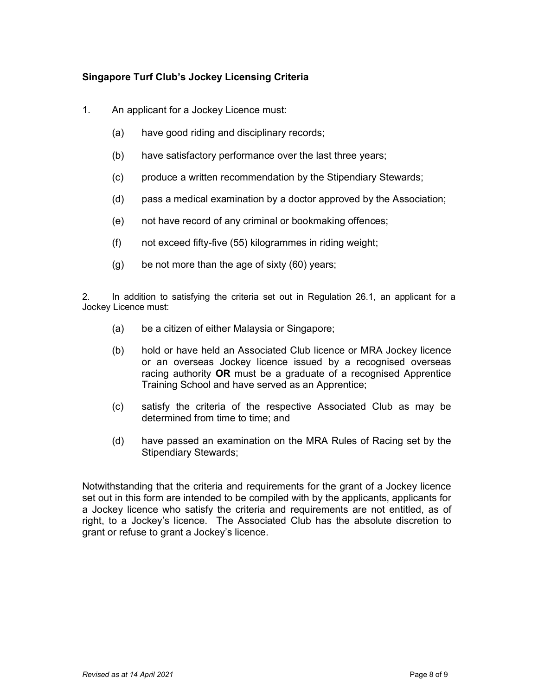## Singapore Turf Club's Jockey Licensing Criteria

- 1. An applicant for a Jockey Licence must:
	- (a) have good riding and disciplinary records;
	- (b) have satisfactory performance over the last three years;
	- (c) produce a written recommendation by the Stipendiary Stewards;
	- (d) pass a medical examination by a doctor approved by the Association;
	- (e) not have record of any criminal or bookmaking offences;
	- (f) not exceed fifty-five (55) kilogrammes in riding weight;
	- (g) be not more than the age of sixty (60) years;

2. In addition to satisfying the criteria set out in Regulation 26.1, an applicant for a Jockey Licence must:

- (a) be a citizen of either Malaysia or Singapore;
- (b) hold or have held an Associated Club licence or MRA Jockey licence or an overseas Jockey licence issued by a recognised overseas racing authority OR must be a graduate of a recognised Apprentice Training School and have served as an Apprentice;
- (c) satisfy the criteria of the respective Associated Club as may be determined from time to time; and
- (d) have passed an examination on the MRA Rules of Racing set by the Stipendiary Stewards;

Notwithstanding that the criteria and requirements for the grant of a Jockey licence set out in this form are intended to be compiled with by the applicants, applicants for a Jockey licence who satisfy the criteria and requirements are not entitled, as of right, to a Jockey's licence. The Associated Club has the absolute discretion to grant or refuse to grant a Jockey's licence.